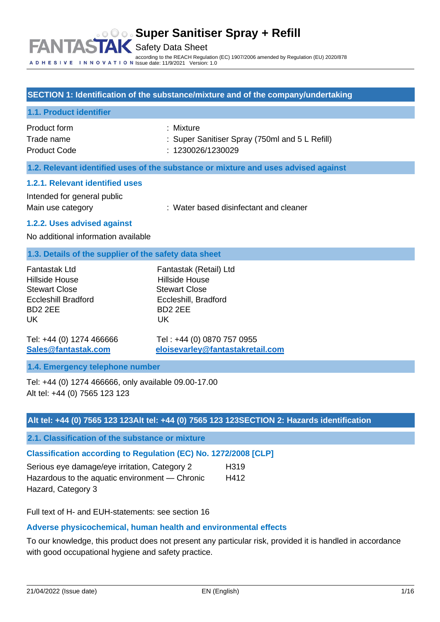#### **Super Sanitiser Spray + Refill FANTAS** Safety Data Sheet according to the REACH Regulation (EC) 1907/2006 amended by Regulation (EU) 2020/878 Issue date: 11/9/2021 Version: 1.0

### **SECTION 1: Identification of the substance/mixture and of the company/undertaking**

#### **1.1. Product identifier**

| Product form        | : Mixture                                      |
|---------------------|------------------------------------------------|
| Trade name          | : Super Sanitiser Spray (750ml and 5 L Refill) |
| <b>Product Code</b> | : 1230026/1230029                              |

#### **1.2. Relevant identified uses of the substance or mixture and uses advised against**

#### **1.2.1. Relevant identified uses**

Intended for general public

Main use category **Exercise 20** : Water based disinfectant and cleaner

#### **1.2.2. Uses advised against**

No additional information available

#### **1.3. Details of the supplier of the safety data sheet**

| Fantastak Ltd              | Fantastak (Retail) Ltd |
|----------------------------|------------------------|
| Hillside House             | <b>Hillside House</b>  |
| <b>Stewart Close</b>       | <b>Stewart Close</b>   |
| <b>Eccleshill Bradford</b> | Eccleshill, Bradford   |
| BD <sub>2</sub> 2EE        | BD <sub>2</sub> 2EE    |
| UK                         | UK                     |
|                            |                        |

Tel: +44 (0) 1274 466666 Tel : +44 (0) 0870 757 0955 **[Sales@fantastak.com](mailto:Sales@fantastak.com) [eloisevarley@fantastakretail.com](mailto:eloisevarley@fantastakretail.com)**

#### **1.4. Emergency telephone number**

Tel: +44 (0) 1274 466666, only available 09.00-17.00 Alt tel: +44 (0) 7565 123 123

### **Alt tel: +44 (0) 7565 123 123Alt tel: +44 (0) 7565 123 123SECTION 2: Hazards identification**

**2.1. Classification of the substance or mixture**

# **Classification according to Regulation (EC) No. 1272/2008 [CLP]**

| Serious eye damage/eye irritation, Category 2  | H <sub>319</sub> |
|------------------------------------------------|------------------|
| Hazardous to the aquatic environment — Chronic | H412             |
| Hazard, Category 3                             |                  |

Full text of H- and EUH-statements: see section 16

# **Adverse physicochemical, human health and environmental effects**

To our knowledge, this product does not present any particular risk, provided it is handled in accordance with good occupational hygiene and safety practice.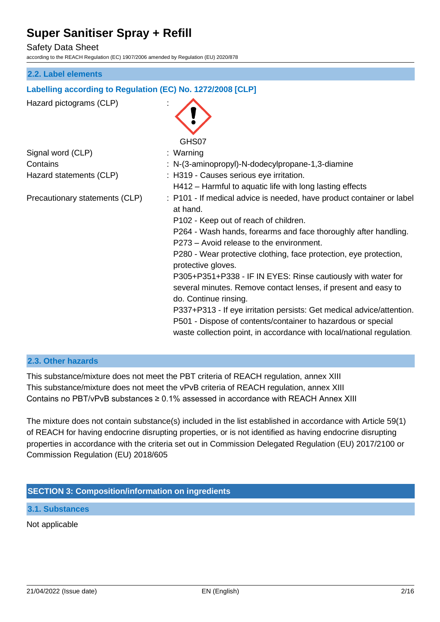Safety Data Sheet

according to the REACH Regulation (EC) 1907/2006 amended by Regulation (EU) 2020/878

#### **2.2. Label elements**

### **Labelling according to Regulation (EC) No. 1272/2008 [CLP]**

Hazard pictograms (CLP) : GHS07 Signal word (CLP) : Warning Contains : N-(3-aminopropyl)-N-dodecylpropane-1,3-diamine Hazard statements (CLP) : H319 - Causes serious eye irritation. H412 – Harmful to aquatic life with long lasting effects Precautionary statements (CLP) : P101 - If medical advice is needed, have product container or label at hand. P102 - Keep out of reach of children. P264 - Wash hands, forearms and face thoroughly after handling. P273 – Avoid release to the environment. P280 - Wear protective clothing, face protection, eye protection, protective gloves. P305+P351+P338 - IF IN EYES: Rinse cautiously with water for several minutes. Remove contact lenses, if present and easy to do. Continue rinsing. P337+P313 - If eye irritation persists: Get medical advice/attention. P501 - Dispose of contents/container to hazardous or special waste collection point, in accordance with local/national regulation.

#### **2.3. Other hazards**

This substance/mixture does not meet the PBT criteria of REACH regulation, annex XIII This substance/mixture does not meet the vPvB criteria of REACH regulation, annex XIII Contains no PBT/vPvB substances  $\geq 0.1\%$  assessed in accordance with REACH Annex XIII

The mixture does not contain substance(s) included in the list established in accordance with Article 59(1) of REACH for having endocrine disrupting properties, or is not identified as having endocrine disrupting properties in accordance with the criteria set out in Commission Delegated Regulation (EU) 2017/2100 or Commission Regulation (EU) 2018/605

## **SECTION 3: Composition/information on ingredients**

**3.1. Substances**

Not applicable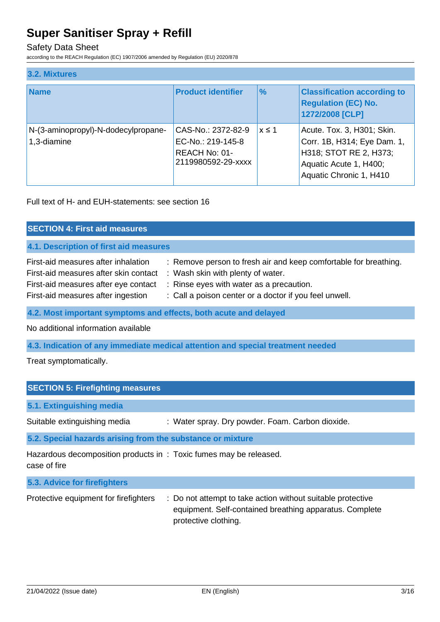## Safety Data Sheet

according to the REACH Regulation (EC) 1907/2006 amended by Regulation (EU) 2020/878

| 3.2. Mixtures |                                                    |                                                                                |               |                                                                                                                                          |
|---------------|----------------------------------------------------|--------------------------------------------------------------------------------|---------------|------------------------------------------------------------------------------------------------------------------------------------------|
|               | <b>Name</b>                                        | <b>Product identifier</b>                                                      | $\frac{9}{6}$ | <b>Classification according to</b><br><b>Regulation (EC) No.</b><br>1272/2008 [CLP]                                                      |
|               | N-(3-aminopropyl)-N-dodecylpropane-<br>1,3-diamine | CAS-No.: 2372-82-9<br>EC-No.: 219-145-8<br>REACH No: 01-<br>2119980592-29-xxxx | $x \leq 1$    | Acute. Tox. 3, H301; Skin.<br>Corr. 1B, H314; Eye Dam. 1,<br>H318; STOT RE 2, H373;<br>Aquatic Acute 1, H400;<br>Aquatic Chronic 1, H410 |

Full text of H- and EUH-statements: see section 16

| <b>SECTION 4: First aid measures</b>                                                                                                                       |                                                                                                                                                                                                             |  |  |
|------------------------------------------------------------------------------------------------------------------------------------------------------------|-------------------------------------------------------------------------------------------------------------------------------------------------------------------------------------------------------------|--|--|
| 4.1. Description of first aid measures                                                                                                                     |                                                                                                                                                                                                             |  |  |
| First-aid measures after inhalation<br>First-aid measures after skin contact<br>First-aid measures after eye contact<br>First-aid measures after ingestion | : Remove person to fresh air and keep comfortable for breathing.<br>: Wash skin with plenty of water.<br>: Rinse eyes with water as a precaution.<br>: Call a poison center or a doctor if you feel unwell. |  |  |
| 4.2. Most important symptoms and effects, both acute and delayed                                                                                           |                                                                                                                                                                                                             |  |  |

No additional information available

**4.3. Indication of any immediate medical attention and special treatment needed**

Treat symptomatically.

| <b>SECTION 5: Firefighting measures</b>                                           |                                                  |  |  |
|-----------------------------------------------------------------------------------|--------------------------------------------------|--|--|
| 5.1. Extinguishing media                                                          |                                                  |  |  |
| Suitable extinguishing media                                                      | : Water spray. Dry powder. Foam. Carbon dioxide. |  |  |
| 5.2. Special hazards arising from the substance or mixture                        |                                                  |  |  |
| Hazardous decomposition products in: Toxic fumes may be released.<br>case of fire |                                                  |  |  |
| 5.3. Advice for firefighters                                                      |                                                  |  |  |

| Protective equipment for firefighters | : Do not attempt to take action without suitable protective |  |  |
|---------------------------------------|-------------------------------------------------------------|--|--|
|                                       | equipment. Self-contained breathing apparatus. Complete     |  |  |
|                                       | protective clothing.                                        |  |  |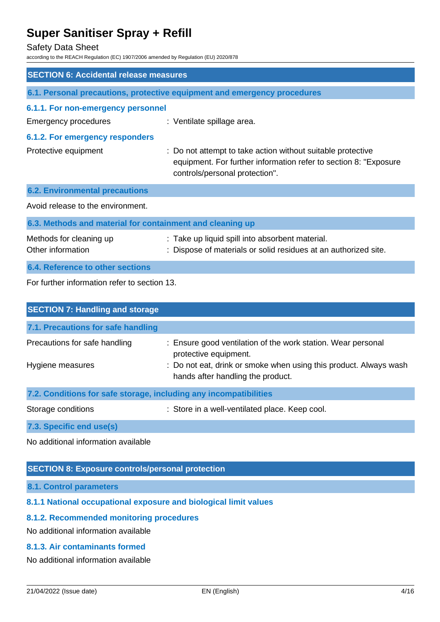#### Safety Data Sheet

according to the REACH Regulation (EC) 1907/2006 amended by Regulation (EU) 2020/878

| <b>SECTION 6: Accidental release measures</b>             |                                                                                                                                                                   |  |  |
|-----------------------------------------------------------|-------------------------------------------------------------------------------------------------------------------------------------------------------------------|--|--|
|                                                           | 6.1. Personal precautions, protective equipment and emergency procedures                                                                                          |  |  |
| 6.1.1. For non-emergency personnel                        |                                                                                                                                                                   |  |  |
| <b>Emergency procedures</b>                               | : Ventilate spillage area.                                                                                                                                        |  |  |
| 6.1.2. For emergency responders                           |                                                                                                                                                                   |  |  |
| Protective equipment                                      | : Do not attempt to take action without suitable protective<br>equipment. For further information refer to section 8: "Exposure<br>controls/personal protection". |  |  |
| <b>6.2. Environmental precautions</b>                     |                                                                                                                                                                   |  |  |
| Avoid release to the environment.                         |                                                                                                                                                                   |  |  |
| 6.3. Methods and material for containment and cleaning up |                                                                                                                                                                   |  |  |
| Methods for cleaning up<br>Other information              | : Take up liquid spill into absorbent material.<br>: Dispose of materials or solid residues at an authorized site.                                                |  |  |
| 6.4. Reference to other sections                          |                                                                                                                                                                   |  |  |
| For further information refer to section 13.              |                                                                                                                                                                   |  |  |

| <b>SECTION 7: Handling and storage</b>                            |                                                                                                        |  |  |  |  |
|-------------------------------------------------------------------|--------------------------------------------------------------------------------------------------------|--|--|--|--|
| 7.1. Precautions for safe handling                                |                                                                                                        |  |  |  |  |
| Precautions for safe handling                                     | : Ensure good ventilation of the work station. Wear personal<br>protective equipment.                  |  |  |  |  |
| Hygiene measures                                                  | : Do not eat, drink or smoke when using this product. Always wash<br>hands after handling the product. |  |  |  |  |
| 7.2. Conditions for safe storage, including any incompatibilities |                                                                                                        |  |  |  |  |
| Storage conditions                                                | : Store in a well-ventilated place. Keep cool.                                                         |  |  |  |  |
| 7.3. Specific end use(s)                                          |                                                                                                        |  |  |  |  |

No additional information available

## **SECTION 8: Exposure controls/personal protection**

**8.1. Control parameters**

# **8.1.1 National occupational exposure and biological limit values**

# **8.1.2. Recommended monitoring procedures**

No additional information available

# **8.1.3. Air contaminants formed**

No additional information available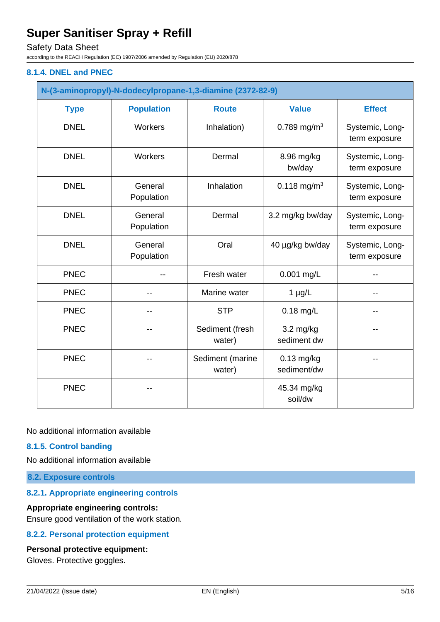Safety Data Sheet

according to the REACH Regulation (EC) 1907/2006 amended by Regulation (EU) 2020/878

### **8.1.4. DNEL and PNEC**

| N-(3-aminopropyl)-N-dodecylpropane-1,3-diamine (2372-82-9) |                       |                            |                                    |                                  |
|------------------------------------------------------------|-----------------------|----------------------------|------------------------------------|----------------------------------|
| <b>Type</b>                                                | <b>Population</b>     | <b>Route</b>               | <b>Value</b>                       | <b>Effect</b>                    |
| <b>DNEL</b>                                                | Workers               | Inhalation)                | 0.789 mg/m <sup>3</sup>            | Systemic, Long-<br>term exposure |
| <b>DNEL</b>                                                | Workers               | Dermal                     | 8.96 mg/kg<br>bw/day               | Systemic, Long-<br>term exposure |
| <b>DNEL</b>                                                | General<br>Population | Inhalation                 | 0.118 mg/m <sup>3</sup>            | Systemic, Long-<br>term exposure |
| <b>DNEL</b>                                                | General<br>Population | Dermal                     | 3.2 mg/kg bw/day                   | Systemic, Long-<br>term exposure |
| <b>DNEL</b>                                                | General<br>Population | Oral                       | 40 µg/kg bw/day                    | Systemic, Long-<br>term exposure |
| <b>PNEC</b>                                                |                       | Fresh water                | 0.001 mg/L                         |                                  |
| <b>PNEC</b>                                                | --                    | Marine water               | $1 \mu g/L$                        |                                  |
| <b>PNEC</b>                                                |                       | <b>STP</b>                 | $0.18$ mg/L                        |                                  |
| <b>PNEC</b>                                                |                       | Sediment (fresh<br>water)  | $3.2 \text{ mg/kg}$<br>sediment dw |                                  |
| <b>PNEC</b>                                                |                       | Sediment (marine<br>water) | $0.13$ mg/kg<br>sediment/dw        |                                  |
| <b>PNEC</b>                                                |                       |                            | 45.34 mg/kg<br>soil/dw             |                                  |

No additional information available

## **8.1.5. Control banding**

No additional information available

**8.2. Exposure controls**

### **8.2.1. Appropriate engineering controls**

#### **Appropriate engineering controls:**

Ensure good ventilation of the work station.

# **8.2.2. Personal protection equipment**

### **Personal protective equipment:**

Gloves. Protective goggles.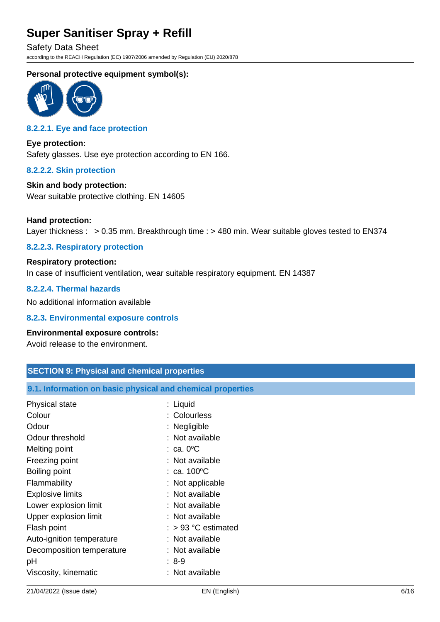Safety Data Sheet according to the REACH Regulation (EC) 1907/2006 amended by Regulation (EU) 2020/878

# **Personal protective equipment symbol(s):**



# **8.2.2.1. Eye and face protection**

**Eye protection:** Safety glasses. Use eye protection according to EN 166.

#### **8.2.2.2. Skin protection**

## **Skin and body protection:**

Wear suitable protective clothing. EN 14605

#### **Hand protection:**

Layer thickness : > 0.35 mm. Breakthrough time : > 480 min. Wear suitable gloves tested to EN374

### **8.2.2.3. Respiratory protection**

# **Respiratory protection:** In case of insufficient ventilation, wear suitable respiratory equipment. EN 14387

### **8.2.2.4. Thermal hazards**

No additional information available

#### **8.2.3. Environmental exposure controls**

#### **Environmental exposure controls:**

Avoid release to the environment.

| <b>SECTION 9: Physical and chemical properties</b>         |                       |  |  |  |
|------------------------------------------------------------|-----------------------|--|--|--|
| 9.1. Information on basic physical and chemical properties |                       |  |  |  |
| Physical state                                             | : Liquid              |  |  |  |
| Colour                                                     | : Colourless          |  |  |  |
| Odour                                                      | : Negligible          |  |  |  |
| Odour threshold                                            | : Not available       |  |  |  |
| Melting point                                              | $: ca. 0^{\circ}C$    |  |  |  |
| Freezing point                                             | : Not available       |  |  |  |
| Boiling point                                              | : $ca. 100^{\circ}C$  |  |  |  |
| Flammability                                               | : Not applicable      |  |  |  |
| <b>Explosive limits</b>                                    | : Not available       |  |  |  |
| Lower explosion limit                                      | : Not available       |  |  |  |
| Upper explosion limit                                      | : Not available       |  |  |  |
| Flash point                                                | $:$ > 93 °C estimated |  |  |  |
| Auto-ignition temperature                                  | : Not available       |  |  |  |
| Decomposition temperature                                  | : Not available       |  |  |  |
| рH                                                         | $: 8-9$               |  |  |  |
| Viscosity, kinematic                                       | : Not available       |  |  |  |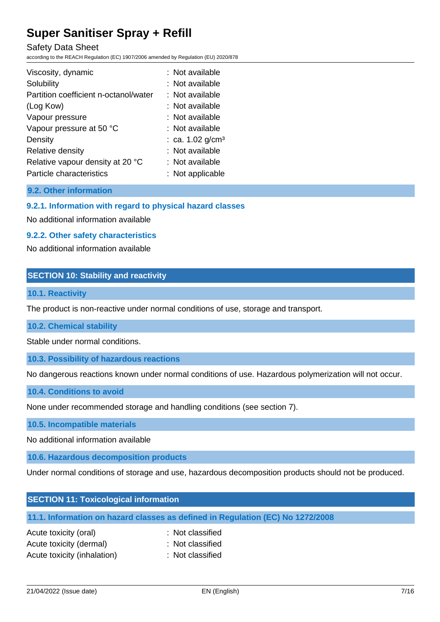Safety Data Sheet

according to the REACH Regulation (EC) 1907/2006 amended by Regulation (EU) 2020/878

| Viscosity, dynamic                    | : Not available     |
|---------------------------------------|---------------------|
| Solubility                            | : Not available     |
| Partition coefficient n-octanol/water | $:$ Not available   |
| (Log Kow)                             | : Not available     |
| Vapour pressure                       | : Not available     |
| Vapour pressure at 50 °C              | : Not available     |
| Density                               | : ca. 1.02 $g/cm^3$ |
| Relative density                      | : Not available     |
| Relative vapour density at 20 °C      | : Not available     |
| Particle characteristics              | : Not applicable    |

# **9.2. Other information**

### **9.2.1. Information with regard to physical hazard classes**

No additional information available

#### **9.2.2. Other safety characteristics**

No additional information available

### **SECTION 10: Stability and reactivity**

#### **10.1. Reactivity**

The product is non-reactive under normal conditions of use, storage and transport.

#### **10.2. Chemical stability**

Stable under normal conditions.

#### **10.3. Possibility of hazardous reactions**

No dangerous reactions known under normal conditions of use. Hazardous polymerization will not occur.

#### **10.4. Conditions to avoid**

None under recommended storage and handling conditions (see section 7).

#### **10.5. Incompatible materials**

No additional information available

## **10.6. Hazardous decomposition products**

Under normal conditions of storage and use, hazardous decomposition products should not be produced.

| <b>SECTION 11: Toxicological information</b>                                   |
|--------------------------------------------------------------------------------|
| 11.1. Information on hazard classes as defined in Regulation (EC) No 1272/2008 |

| Acute toxicity (oral)       | : Not classified |
|-----------------------------|------------------|
| Acute toxicity (dermal)     | : Not classified |
| Acute toxicity (inhalation) | : Not classified |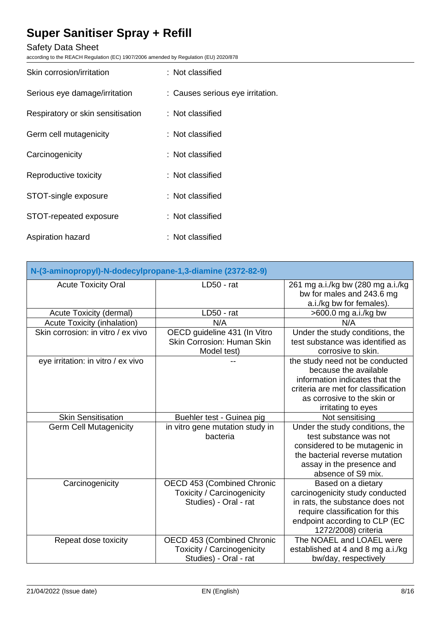# Safety Data Sheet

according to the REACH Regulation (EC) 1907/2006 amended by Regulation (EU) 2020/878

| Skin corrosion/irritation         | : Not classified                 |
|-----------------------------------|----------------------------------|
| Serious eye damage/irritation     | : Causes serious eye irritation. |
| Respiratory or skin sensitisation | : Not classified                 |
| Germ cell mutagenicity            | : Not classified                 |
| Carcinogenicity                   | : Not classified                 |
| Reproductive toxicity             | : Not classified                 |
| STOT-single exposure              | : Not classified                 |
| STOT-repeated exposure            | : Not classified                 |
| Aspiration hazard                 | : Not classified                 |

| N-(3-aminopropyl)-N-dodecylpropane-1,3-diamine (2372-82-9) |                                                                                   |                                                                                                                                                                                        |
|------------------------------------------------------------|-----------------------------------------------------------------------------------|----------------------------------------------------------------------------------------------------------------------------------------------------------------------------------------|
| <b>Acute Toxicity Oral</b>                                 | $LD50 - rat$                                                                      | 261 mg a.i./kg bw (280 mg a.i./kg<br>bw for males and 243.6 mg<br>a.i./kg bw for females).                                                                                             |
| Acute Toxicity (dermal)                                    | $LD50 - rat$                                                                      | $>600.0$ mg a.i./kg bw                                                                                                                                                                 |
| <b>Acute Toxicity (inhalation)</b>                         | N/A                                                                               | N/A                                                                                                                                                                                    |
| Skin corrosion: in vitro / ex vivo                         | OECD guideline 431 (In Vitro<br><b>Skin Corrosion: Human Skin</b><br>Model test)  | Under the study conditions, the<br>test substance was identified as<br>corrosive to skin.                                                                                              |
| eye irritation: in vitro / ex vivo                         |                                                                                   | the study need not be conducted<br>because the available<br>information indicates that the<br>criteria are met for classification<br>as corrosive to the skin or<br>irritating to eyes |
| <b>Skin Sensitisation</b>                                  | Buehler test - Guinea pig                                                         | Not sensitising                                                                                                                                                                        |
| <b>Germ Cell Mutagenicity</b>                              | in vitro gene mutation study in<br>bacteria                                       | Under the study conditions, the<br>test substance was not<br>considered to be mutagenic in<br>the bacterial reverse mutation<br>assay in the presence and<br>absence of S9 mix.        |
| Carcinogenicity                                            | OECD 453 (Combined Chronic<br>Toxicity / Carcinogenicity<br>Studies) - Oral - rat | Based on a dietary<br>carcinogenicity study conducted<br>in rats, the substance does not<br>require classification for this<br>endpoint according to CLP (EC<br>1272/2008) criteria    |
| Repeat dose toxicity                                       | OECD 453 (Combined Chronic<br>Toxicity / Carcinogenicity<br>Studies) - Oral - rat | The NOAEL and LOAEL were<br>established at 4 and 8 mg a.i./kg<br>bw/day, respectively                                                                                                  |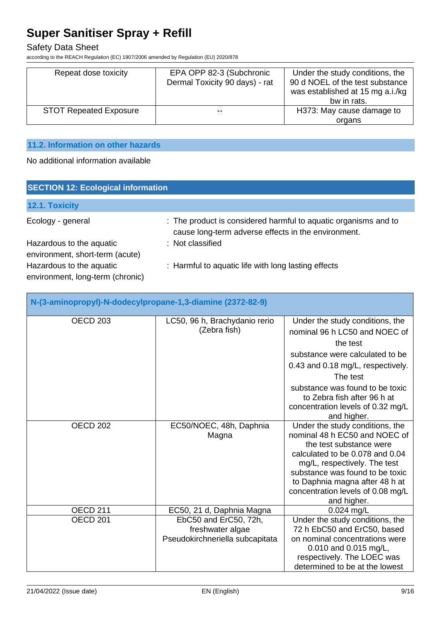Safety Data Sheet

according to the REACH Regulation (EC) 1907/2006 amended by Regulation (EU) 2020/878

| Repeat dose toxicity          | EPA OPP 82-3 (Subchronic<br>Dermal Toxicity 90 days) - rat | Under the study conditions, the<br>90 d NOEL of the test substance<br>was established at 15 mg a.i./kg<br>bw in rats. |
|-------------------------------|------------------------------------------------------------|-----------------------------------------------------------------------------------------------------------------------|
| <b>STOT Repeated Exposure</b> | т.                                                         | H373: May cause damage to                                                                                             |
|                               |                                                            | organs                                                                                                                |

# **11.2. Information on other hazards**

No additional information available

| <b>SECTION 12: Ecological information</b>                    |                                                                                                                        |  |
|--------------------------------------------------------------|------------------------------------------------------------------------------------------------------------------------|--|
| 12.1. Toxicity                                               |                                                                                                                        |  |
| Ecology - general                                            | : The product is considered harmful to aquatic organisms and to<br>cause long-term adverse effects in the environment. |  |
| Hazardous to the aquatic<br>environment, short-term (acute)  | : Not classified                                                                                                       |  |
| Hazardous to the aquatic<br>environment, long-term (chronic) | : Harmful to aquatic life with long lasting effects                                                                    |  |

| N-(3-aminopropyl)-N-dodecylpropane-1,3-diamine (2372-82-9) |                                                                              |                                                                                                                                                                                                                                                                                         |
|------------------------------------------------------------|------------------------------------------------------------------------------|-----------------------------------------------------------------------------------------------------------------------------------------------------------------------------------------------------------------------------------------------------------------------------------------|
| <b>OECD 203</b>                                            | LC50, 96 h, Brachydanio rerio<br>(Zebra fish)                                | Under the study conditions, the<br>nominal 96 h LC50 and NOEC of<br>the test<br>substance were calculated to be<br>0.43 and 0.18 mg/L, respectively.<br>The test<br>substance was found to be toxic<br>to Zebra fish after 96 h at<br>concentration levels of 0.32 mg/L<br>and higher.  |
| OECD <sub>202</sub>                                        | EC50/NOEC, 48h, Daphnia<br>Magna                                             | Under the study conditions, the<br>nominal 48 h EC50 and NOEC of<br>the test substance were<br>calculated to be 0.078 and 0.04<br>mg/L, respectively. The test<br>substance was found to be toxic<br>to Daphnia magna after 48 h at<br>concentration levels of 0.08 mg/L<br>and higher. |
| <b>OECD 211</b>                                            | EC50, 21 d, Daphnia Magna                                                    | 0.024 mg/L                                                                                                                                                                                                                                                                              |
| OECD <sub>201</sub>                                        | EbC50 and ErC50, 72h,<br>freshwater algae<br>Pseudokirchneriella subcapitata | Under the study conditions, the<br>72 h EbC50 and ErC50, based<br>on nominal concentrations were<br>0.010 and 0.015 mg/L,<br>respectively. The LOEC was<br>determined to be at the lowest                                                                                               |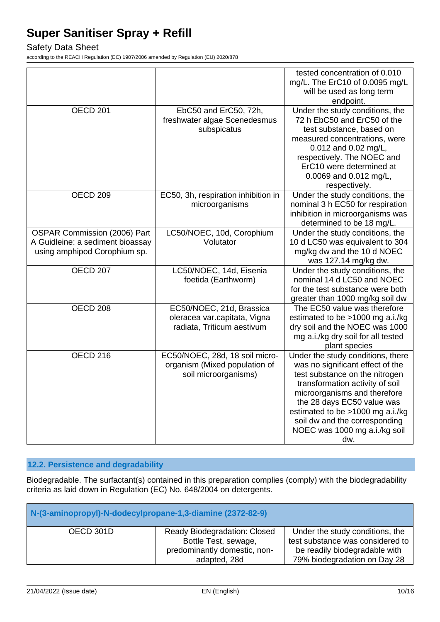# Safety Data Sheet

according to the REACH Regulation (EC) 1907/2006 amended by Regulation (EU) 2020/878

|                                                                                                  |                                                                                         | tested concentration of 0.010<br>mg/L. The ErC10 of 0.0095 mg/L<br>will be used as long term<br>endpoint.                                                                                                                                                                                                             |
|--------------------------------------------------------------------------------------------------|-----------------------------------------------------------------------------------------|-----------------------------------------------------------------------------------------------------------------------------------------------------------------------------------------------------------------------------------------------------------------------------------------------------------------------|
| <b>OECD 201</b>                                                                                  | EbC50 and ErC50, 72h,<br>freshwater algae Scenedesmus<br>subspicatus                    | Under the study conditions, the<br>72 h EbC50 and ErC50 of the<br>test substance, based on<br>measured concentrations, were<br>0.012 and 0.02 mg/L,<br>respectively. The NOEC and<br>ErC10 were determined at<br>0.0069 and 0.012 mg/L,<br>respectively.                                                              |
| OECD <sub>209</sub>                                                                              | EC50, 3h, respiration inhibition in<br>microorganisms                                   | Under the study conditions, the<br>nominal 3 h EC50 for respiration<br>inhibition in microorganisms was<br>determined to be 18 mg/L.                                                                                                                                                                                  |
| OSPAR Commission (2006) Part<br>A Guidleine: a sediment bioassay<br>using amphipod Corophium sp. | LC50/NOEC, 10d, Corophium<br>Volutator                                                  | Under the study conditions, the<br>10 d LC50 was equivalent to 304<br>mg/kg dw and the 10 d NOEC<br>was 127.14 mg/kg dw.                                                                                                                                                                                              |
| <b>OECD 207</b>                                                                                  | LC50/NOEC, 14d, Eisenia<br>foetida (Earthworm)                                          | Under the study conditions, the<br>nominal 14 d LC50 and NOEC<br>for the test substance were both<br>greater than 1000 mg/kg soil dw                                                                                                                                                                                  |
| OECD <sub>208</sub>                                                                              | EC50/NOEC, 21d, Brassica<br>oleracea var.capitata, Vigna<br>radiata, Triticum aestivum  | The EC50 value was therefore<br>estimated to be >1000 mg a.i./kg<br>dry soil and the NOEC was 1000<br>mg a.i./kg dry soil for all tested<br>plant species                                                                                                                                                             |
| <b>OECD 216</b>                                                                                  | EC50/NOEC, 28d, 18 soil micro-<br>organism (Mixed population of<br>soil microorganisms) | Under the study conditions, there<br>was no significant effect of the<br>test substance on the nitrogen<br>transformation activity of soil<br>microorganisms and therefore<br>the 28 days EC50 value was<br>estimated to be >1000 mg a.i./kg<br>soil dw and the corresponding<br>NOEC was 1000 mg a.i./kg soil<br>dw. |

# **12.2. Persistence and degradability**

Biodegradable. The surfactant(s) contained in this preparation complies (comply) with the biodegradability criteria as laid down in Regulation (EC) No. 648/2004 on detergents.

| N-(3-aminopropyl)-N-dodecylpropane-1,3-diamine (2372-82-9) |                                                                                                      |                                                                                                                                      |
|------------------------------------------------------------|------------------------------------------------------------------------------------------------------|--------------------------------------------------------------------------------------------------------------------------------------|
| OECD 301D                                                  | Ready Biodegradation: Closed<br>Bottle Test, sewage,<br>predominantly domestic, non-<br>adapted, 28d | Under the study conditions, the<br>test substance was considered to<br>be readily biodegradable with<br>79% biodegradation on Day 28 |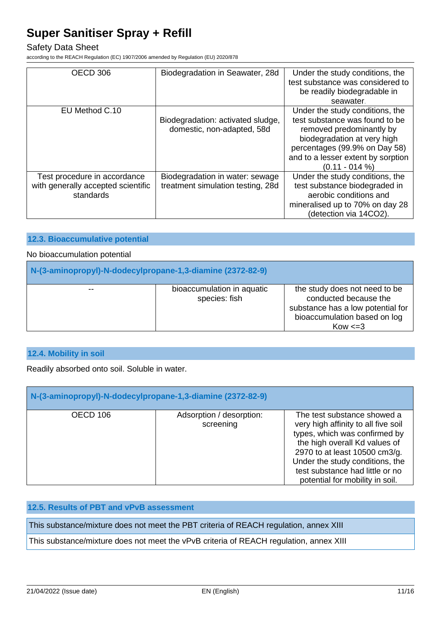### Safety Data Sheet

according to the REACH Regulation (EC) 1907/2006 amended by Regulation (EU) 2020/878

| OECD 306                                        | Biodegradation in Seawater, 28d                                 | Under the study conditions, the<br>test substance was considered to<br>be readily biodegradable in                                                                                  |
|-------------------------------------------------|-----------------------------------------------------------------|-------------------------------------------------------------------------------------------------------------------------------------------------------------------------------------|
|                                                 |                                                                 | seawater.                                                                                                                                                                           |
|                                                 |                                                                 |                                                                                                                                                                                     |
| EU Method C.10                                  |                                                                 | Under the study conditions, the                                                                                                                                                     |
|                                                 | Biodegradation: activated sludge,<br>domestic, non-adapted, 58d | test substance was found to be<br>removed predominantly by<br>biodegradation at very high<br>percentages (99.9% on Day 58)<br>and to a lesser extent by sorption<br>$(0.11 - 014%)$ |
| Test procedure in accordance                    | Biodegradation in water: sewage                                 | Under the study conditions, the                                                                                                                                                     |
| with generally accepted scientific<br>standards | treatment simulation testing, 28d                               | test substance biodegraded in<br>aerobic conditions and                                                                                                                             |
|                                                 |                                                                 | mineralised up to 70% on day 28                                                                                                                                                     |
|                                                 |                                                                 | (detection via 14CO2).                                                                                                                                                              |

#### **12.3. Bioaccumulative potential**

### No bioaccumulation potential

| N-(3-aminopropyl)-N-dodecylpropane-1,3-diamine (2372-82-9) |                                             |                                                                                                                                             |  |
|------------------------------------------------------------|---------------------------------------------|---------------------------------------------------------------------------------------------------------------------------------------------|--|
| $- -$                                                      | bioaccumulation in aquatic<br>species: fish | the study does not need to be<br>conducted because the<br>substance has a low potential for<br>bioaccumulation based on log<br>$Kow \leq 3$ |  |

# **12.4. Mobility in soil**

Readily absorbed onto soil. Soluble in water.

| N-(3-aminopropyl)-N-dodecylpropane-1,3-diamine (2372-82-9) |                                       |                                                                                                                                                                                                                                                                                |  |
|------------------------------------------------------------|---------------------------------------|--------------------------------------------------------------------------------------------------------------------------------------------------------------------------------------------------------------------------------------------------------------------------------|--|
| OECD 106                                                   | Adsorption / desorption:<br>screening | The test substance showed a<br>very high affinity to all five soil<br>types, which was confirmed by<br>the high overall Kd values of<br>2970 to at least 10500 cm3/g.<br>Under the study conditions, the<br>test substance had little or no<br>potential for mobility in soil. |  |

# **12.5. Results of PBT and vPvB assessment**

This substance/mixture does not meet the PBT criteria of REACH regulation, annex XIII

This substance/mixture does not meet the vPvB criteria of REACH regulation, annex XIII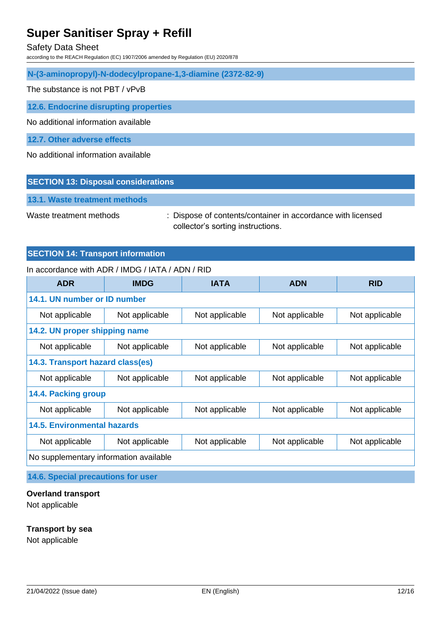Safety Data Sheet

according to the REACH Regulation (EC) 1907/2006 amended by Regulation (EU) 2020/878

**N-(3-aminopropyl)-N-dodecylpropane-1,3-diamine (2372-82-9)**

The substance is not PBT / vPvB

**12.6. Endocrine disrupting properties**

No additional information available

**12.7. Other adverse effects**

No additional information available

#### **SECTION 13: Disposal considerations**

**13.1. Waste treatment methods**

Waste treatment methods : Dispose of contents/container in accordance with licensed collector's sorting instructions.

### **SECTION 14: Transport information**

#### In accordance with ADR / IMDG / IATA / ADN / RID

| <b>ADR</b>                             | <b>IMDG</b>    | <b>IATA</b>    | <b>ADN</b>     | <b>RID</b>     |
|----------------------------------------|----------------|----------------|----------------|----------------|
| 14.1. UN number or ID number           |                |                |                |                |
| Not applicable                         | Not applicable | Not applicable | Not applicable | Not applicable |
| 14.2. UN proper shipping name          |                |                |                |                |
| Not applicable                         | Not applicable | Not applicable | Not applicable | Not applicable |
| 14.3. Transport hazard class(es)       |                |                |                |                |
| Not applicable                         | Not applicable | Not applicable | Not applicable | Not applicable |
| <b>14.4. Packing group</b>             |                |                |                |                |
| Not applicable                         | Not applicable | Not applicable | Not applicable | Not applicable |
| <b>14.5. Environmental hazards</b>     |                |                |                |                |
| Not applicable                         | Not applicable | Not applicable | Not applicable | Not applicable |
| No supplementary information available |                |                |                |                |

**14.6. Special precautions for user**

#### **Overland transport**

Not applicable

#### **Transport by sea**

Not applicable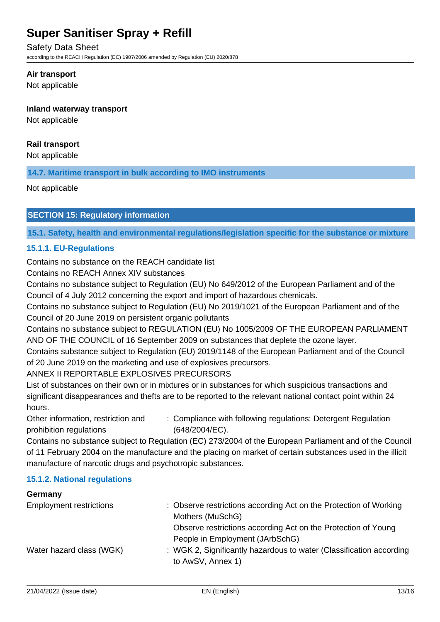Safety Data Sheet

according to the REACH Regulation (EC) 1907/2006 amended by Regulation (EU) 2020/878

#### **Air transport**

Not applicable

### **Inland waterway transport**

Not applicable

## **Rail transport**

Not applicable

**14.7. Maritime transport in bulk according to IMO instruments**

Not applicable

## **SECTION 15: Regulatory information**

**15.1. Safety, health and environmental regulations/legislation specific for the substance or mixture**

## **15.1.1. EU-Regulations**

Contains no substance on the REACH candidate list

Contains no REACH Annex XIV substances

Contains no substance subject to Regulation (EU) No 649/2012 of the European Parliament and of the Council of 4 July 2012 concerning the export and import of hazardous chemicals.

Contains no substance subject to Regulation (EU) No 2019/1021 of the European Parliament and of the Council of 20 June 2019 on persistent organic pollutants

Contains no substance subject to REGULATION (EU) No 1005/2009 OF THE EUROPEAN PARLIAMENT AND OF THE COUNCIL of 16 September 2009 on substances that deplete the ozone layer.

Contains substance subject to Regulation (EU) 2019/1148 of the European Parliament and of the Council of 20 June 2019 on the marketing and use of explosives precursors.

## ANNEX II REPORTABLE EXPLOSIVES PRECURSORS

List of substances on their own or in mixtures or in substances for which suspicious transactions and significant disappearances and thefts are to be reported to the relevant national contact point within 24 hours.

Other information, restriction and prohibition regulations : Compliance with following regulations: Detergent Regulation (648/2004/EC).

Contains no substance subject to Regulation (EC) 273/2004 of the European Parliament and of the Council of 11 February 2004 on the manufacture and the placing on market of certain substances used in the illicit manufacture of narcotic drugs and psychotropic substances.

## **15.1.2. National regulations**

# **Germany** Employment restrictions : Observe restrictions according Act on the Protection of Working Mothers (MuSchG) Observe restrictions according Act on the Protection of Young People in Employment (JArbSchG) Water hazard class (WGK) : WGK 2, Significantly hazardous to water (Classification according to AwSV, Annex 1)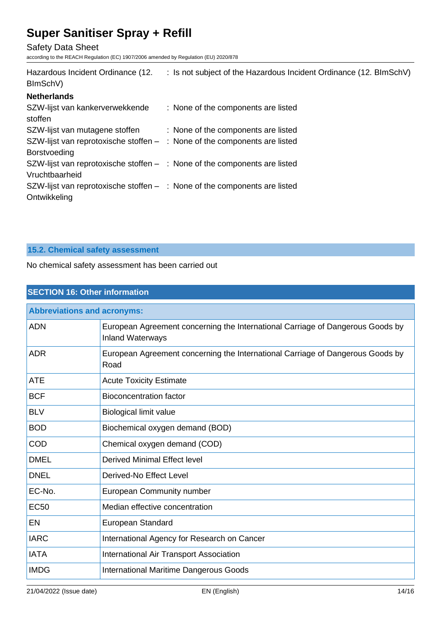Safety Data Sheet

according to the REACH Regulation (EC) 1907/2006 amended by Regulation (EU) 2020/878

| Hazardous Incident Ordinance (12.<br>BImSchV)                                                      | : Is not subject of the Hazardous Incident Ordinance (12. BImSchV) |
|----------------------------------------------------------------------------------------------------|--------------------------------------------------------------------|
| <b>Netherlands</b>                                                                                 |                                                                    |
| SZW-lijst van kankerverwekkende<br>stoffen                                                         | : None of the components are listed                                |
| SZW-lijst van mutagene stoffen                                                                     | : None of the components are listed                                |
| SZW-lijst van reprotoxische stoffen $-$ : None of the components are listed<br><b>Borstvoeding</b> |                                                                    |
| SZW-lijst van reprotoxische stoffen $-$ : None of the components are listed<br>Vruchtbaarheid      |                                                                    |
| SZW-lijst van reprotoxische stoffen $-$ : None of the components are listed<br>Ontwikkeling        |                                                                    |

# **15.2. Chemical safety assessment**

No chemical safety assessment has been carried out

| <b>SECTION 16: Other information</b> |                                                                                                           |  |
|--------------------------------------|-----------------------------------------------------------------------------------------------------------|--|
| <b>Abbreviations and acronyms:</b>   |                                                                                                           |  |
| <b>ADN</b>                           | European Agreement concerning the International Carriage of Dangerous Goods by<br><b>Inland Waterways</b> |  |
| <b>ADR</b>                           | European Agreement concerning the International Carriage of Dangerous Goods by<br>Road                    |  |
| <b>ATE</b>                           | <b>Acute Toxicity Estimate</b>                                                                            |  |
| <b>BCF</b>                           | Bioconcentration factor                                                                                   |  |
| <b>BLV</b>                           | <b>Biological limit value</b>                                                                             |  |
| <b>BOD</b>                           | Biochemical oxygen demand (BOD)                                                                           |  |
| <b>COD</b>                           | Chemical oxygen demand (COD)                                                                              |  |
| <b>DMEL</b>                          | <b>Derived Minimal Effect level</b>                                                                       |  |
| <b>DNEL</b>                          | Derived-No Effect Level                                                                                   |  |
| EC-No.                               | European Community number                                                                                 |  |
| <b>EC50</b>                          | Median effective concentration                                                                            |  |
| EN                                   | European Standard                                                                                         |  |
| <b>IARC</b>                          | International Agency for Research on Cancer                                                               |  |
| <b>IATA</b>                          | International Air Transport Association                                                                   |  |
| <b>IMDG</b>                          | International Maritime Dangerous Goods                                                                    |  |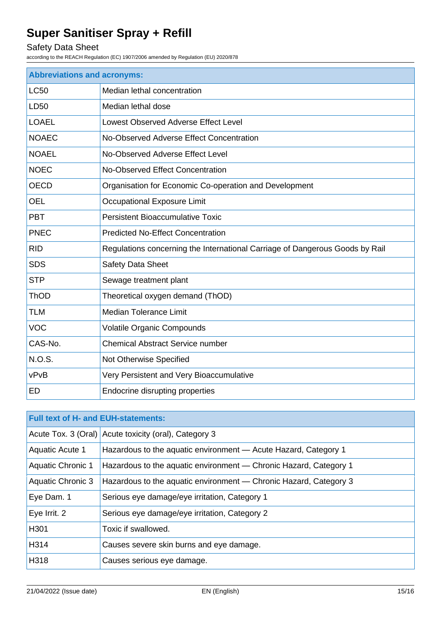# Safety Data Sheet

according to the REACH Regulation (EC) 1907/2006 amended by Regulation (EU) 2020/878

| <b>Abbreviations and acronyms:</b> |                                                                              |  |
|------------------------------------|------------------------------------------------------------------------------|--|
| <b>LC50</b>                        | Median lethal concentration                                                  |  |
| LD50                               | Median lethal dose                                                           |  |
| <b>LOAEL</b>                       | Lowest Observed Adverse Effect Level                                         |  |
| <b>NOAEC</b>                       | No-Observed Adverse Effect Concentration                                     |  |
| <b>NOAEL</b>                       | No-Observed Adverse Effect Level                                             |  |
| <b>NOEC</b>                        | No-Observed Effect Concentration                                             |  |
| <b>OECD</b>                        | Organisation for Economic Co-operation and Development                       |  |
| <b>OEL</b>                         | Occupational Exposure Limit                                                  |  |
| <b>PBT</b>                         | <b>Persistent Bioaccumulative Toxic</b>                                      |  |
| <b>PNEC</b>                        | <b>Predicted No-Effect Concentration</b>                                     |  |
| <b>RID</b>                         | Regulations concerning the International Carriage of Dangerous Goods by Rail |  |
| <b>SDS</b>                         | <b>Safety Data Sheet</b>                                                     |  |
| <b>STP</b>                         | Sewage treatment plant                                                       |  |
| <b>ThOD</b>                        | Theoretical oxygen demand (ThOD)                                             |  |
| <b>TLM</b>                         | <b>Median Tolerance Limit</b>                                                |  |
| <b>VOC</b>                         | Volatile Organic Compounds                                                   |  |
| CAS-No.                            | <b>Chemical Abstract Service number</b>                                      |  |
| <b>N.O.S.</b>                      | Not Otherwise Specified                                                      |  |
| vPvB                               | Very Persistent and Very Bioaccumulative                                     |  |
| <b>ED</b>                          | Endocrine disrupting properties                                              |  |

| <b>Full text of H- and EUH-statements:</b> |                                                                   |  |
|--------------------------------------------|-------------------------------------------------------------------|--|
|                                            | Acute Tox. 3 (Oral) Acute toxicity (oral), Category 3             |  |
| <b>Aquatic Acute 1</b>                     | Hazardous to the aquatic environment - Acute Hazard, Category 1   |  |
| <b>Aquatic Chronic 1</b>                   | Hazardous to the aquatic environment - Chronic Hazard, Category 1 |  |
| <b>Aquatic Chronic 3</b>                   | Hazardous to the aquatic environment - Chronic Hazard, Category 3 |  |
| Eye Dam. 1                                 | Serious eye damage/eye irritation, Category 1                     |  |
| Eye Irrit. 2                               | Serious eye damage/eye irritation, Category 2                     |  |
| H301                                       | Toxic if swallowed.                                               |  |
| H314                                       | Causes severe skin burns and eye damage.                          |  |
| H318                                       | Causes serious eye damage.                                        |  |